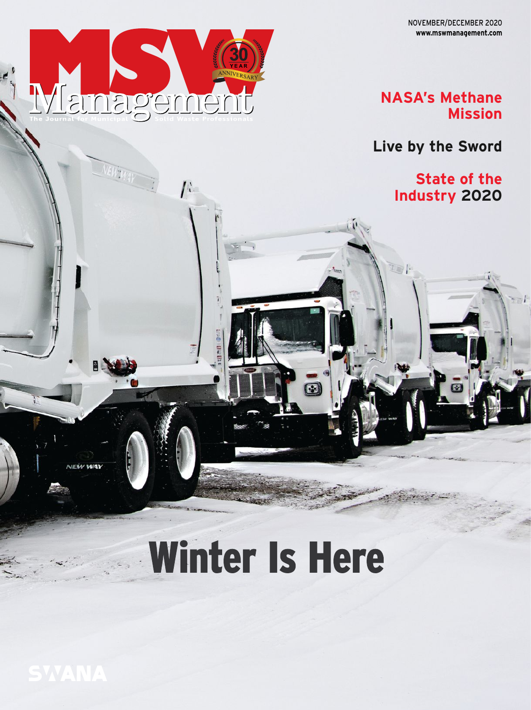

 $I^{\mathcal{C}}$ 

## **NASA's Methane Mission**

**Live by the Sword**

**State of the Industry 2020**

# Winter Is Here

 $\bar{\bm{\Xi}}$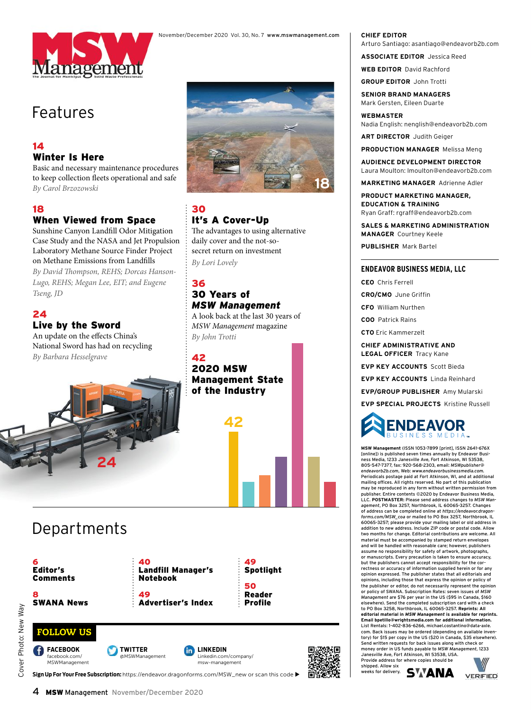

## Features

#### 14 Winter Is Here

Basic and necessary maintenance procedures to keep collection fleets operational and safe *By Carol Brzozowski* 

#### 18

## When Viewed from Space

Sunshine Canyon Landfill Odor Mitigation Case Study and the NASA and Jet Propulsion Laboratory Methane Source Finder Project on Methane Emissions from Landfills By David Thompson, REHS; Dorcas Hanson-*Lugo, REHS; Megan Lee, EIT; and Eugene Tseng, JD* 

## 24

#### Live by the Sword

Departments

An update on the effects China's National Sword has had on recycling *By Barbara Hesselgrave* 

**24**



30 It's A Cover-Up The advantages to using alternative daily cover and the not-sosecret return on investment *By Lori Lovely* 

#### 36 30 Years of *MSW Management*

A look back at the last 30 years of *MSW Management* magazine *By John Trotti* 

42 2020 MSW Management State of the Industry





Sign Up For Your Free Subscription: https://endeavor.dragonforms.com/MSW\_new or scan this code

#### **CHIEF EDITOR** Arturo Santiago: asantiago@endeavorb2b.com

**ASSOCIATE EDITOR** Jessica Reed

**WEB EDITOR** David Rachford **GROUP EDITOR** John Trotti

**SENIOR BRAND MANAGERS** Mark Gersten, Eileen Duarte

**WEBMASTER**

Nadia English: nenglish@endeavorb2b.com

**ART DIRECTOR** Judith Geiger

**PRODUCTION MANAGER** Melissa Meng

**AUDIENCE DEVELOPMENT DIRECTOR** Laura Moulton: lmoulton@endeavorb2b.com

**MARKETING MANAGER** Adrienne Adler

**PRODUCT MARKETING MANAGER, EDUCATION & TRAINING** Ryan Graff: rgraff@endeavorb2b.com

**SALES & MARKETING ADMINISTRATION MANAGER** Courtney Keele

**PUBLISHER** Mark Bartel

#### **ENDEAVOR BUSINESS MEDIA, LLC**

**CEO** Chris Ferrell

**CRO/CMO** June Griffin

**CFO** William Nurthen

**COO** Patrick Rains

**CTO** Eric Kammerzelt

**CHIEF ADMINISTRATIVE AND LEGAL OFFICER** Tracy Kane

**EVP KEY ACCOUNTS** Scott Bieda

**EVP KEY ACCOUNTS** Linda Reinhard

**EVP/GROUP PUBLISHER** Amy Mularski

**EVP SPECIAL PROJECTS** Kristine Russell



**MSW Management** (ISSN 1053-7899 [print], ISSN 2641-676X [online]) is published seven times annually by Endeavor Busi-ness Media, 1233 Janesville Ave, Fort Atkinson, WI 53538, 805-547-7377, fax: 920-568-2303, email: *MSWpublisher@ endeavorb2b.com*, Web: *www.endeavorbusinessmedia.com.* Periodicals postage paid at Fort Atkinson, WI, and at additional mailing offices. All rights reserved. No part of this publication may be reproduced in any form without written permission from publisher. Entire contents ©2020 by Endeavor Business Media, LLC. **POSTMASTER:** Please send address changes to *MSW Management*, PO Box 3257, Northbrook, IL 60065-3257. Changes of address can be completed online at *https://endeavor.dragonforms.com/MSW\_coa* or mailed to PO Box 3257, Northbrook, IL 60065-3257; please provide your mailing label or old address in addition to new address. Include ZIP code or postal code. Allow two months for change. Editorial contributions are welcome. All material must be accompanied by stamped return envelopes and will be handled with reasonable care; however, publishers assume no responsibility for safety of artwork, photographs, or manuscripts. Every precaution is taken to ensure accuracy, but the publishers cannot accept responsibility for the cor-rectness or accuracy of information supplied herein or for any opinion expressed. The publisher states that all editorials and opinions, including those that express the opinion or policy of the publisher or editor, do not necessarily represent the opinion<br>or policy of SWANA, Subscription Pates: soven issues of MSW or policy of SWANA. Subscription Rates: seven issues of *MSW Management* are \$76 per year in the US (\$95 in Canada, \$160 elsewhere). Send the completed subscription card with a check to PO Box 3258, Northbrook, IL 60065-3257. **Reprints: All editorial material in** *MSW Management* **is available for reprints. Email bpetillo@wrightsmedia.com for additional information.**  List Rentals: 1-402-836-6266, michael.costantino@data-axle. com. Back issues may be ordered (depending on available inventory) for \$15 per copy in the US (\$20 in Canada, \$35 elsewhere). Send written requests for back issues along with check or money order in US funds payable to *MSW Management*, 1233 Janesville Ave, Fort Atkinson, WI 53538, USA.

Provide address for where copies should be shipped. Allow six weeks for delivery. **SWANA**